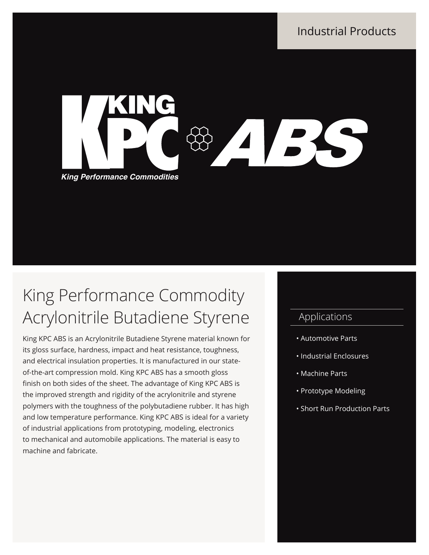Industrial Products



# King Performance Commodity Acrylonitrile Butadiene Styrene

King KPC ABS is an Acrylonitrile Butadiene Styrene material known for its gloss surface, hardness, impact and heat resistance, toughness, and electrical insulation properties. It is manufactured in our stateof-the-art compression mold. King KPC ABS has a smooth gloss finish on both sides of the sheet. The advantage of King KPC ABS is the improved strength and rigidity of the acrylonitrile and styrene polymers with the toughness of the polybutadiene rubber. It has high and low temperature performance. King KPC ABS is ideal for a variety of industrial applications from prototyping, modeling, electronics to mechanical and automobile applications. The material is easy to machine and fabricate.

## Applications

- Automotive Parts
- Industrial Enclosures
- Machine Parts
- Prototype Modeling
- Short Run Production Parts